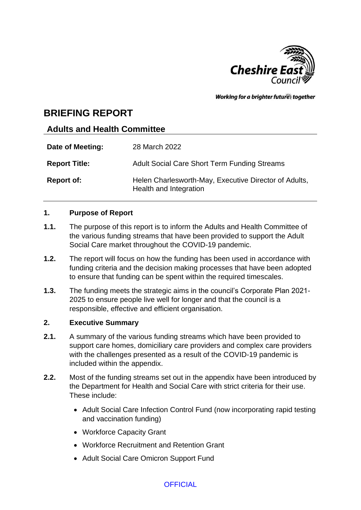

Working for a brighter futures together

# **BRIEFING REPORT**

## **Adults and Health Committee**

| Date of Meeting:     | 28 March 2022                                                                   |
|----------------------|---------------------------------------------------------------------------------|
| <b>Report Title:</b> | <b>Adult Social Care Short Term Funding Streams</b>                             |
| <b>Report of:</b>    | Helen Charlesworth-May, Executive Director of Adults,<br>Health and Integration |

## **1. Purpose of Report**

- **1.1.** The purpose of this report is to inform the Adults and Health Committee of the various funding streams that have been provided to support the Adult Social Care market throughout the COVID-19 pandemic.
- **1.2.** The report will focus on how the funding has been used in accordance with funding criteria and the decision making processes that have been adopted to ensure that funding can be spent within the required timescales.
- **1.3.** The funding meets the strategic aims in the council's Corporate Plan 2021- 2025 to ensure people live well for longer and that the council is a responsible, effective and efficient organisation.

## **2. Executive Summary**

- **2.1.** A summary of the various funding streams which have been provided to support care homes, domiciliary care providers and complex care providers with the challenges presented as a result of the COVID-19 pandemic is included within the appendix.
- **2.2.** Most of the funding streams set out in the appendix have been introduced by the Department for Health and Social Care with strict criteria for their use. These include:
	- Adult Social Care Infection Control Fund (now incorporating rapid testing and vaccination funding)
	- Workforce Capacity Grant
	- Workforce Recruitment and Retention Grant
	- Adult Social Care Omicron Support Fund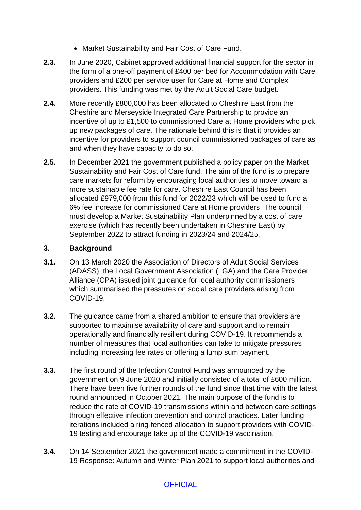- Market Sustainability and Fair Cost of Care Fund.
- **2.3.** In June 2020, Cabinet approved additional financial support for the sector in the form of a one-off payment of £400 per bed for Accommodation with Care providers and £200 per service user for Care at Home and Complex providers. This funding was met by the Adult Social Care budget.
- **2.4.** More recently £800,000 has been allocated to Cheshire East from the Cheshire and Merseyside Integrated Care Partnership to provide an incentive of up to £1,500 to commissioned Care at Home providers who pick up new packages of care. The rationale behind this is that it provides an incentive for providers to support council commissioned packages of care as and when they have capacity to do so.
- **2.5.** In December 2021 the government published a policy paper on the Market Sustainability and Fair Cost of Care fund. The aim of the fund is to prepare care markets for reform by encouraging local authorities to move toward a more sustainable fee rate for care. Cheshire East Council has been allocated £979,000 from this fund for 2022/23 which will be used to fund a 6% fee increase for commissioned Care at Home providers. The council must develop a Market Sustainability Plan underpinned by a cost of care exercise (which has recently been undertaken in Cheshire East) by September 2022 to attract funding in 2023/24 and 2024/25.

#### **3. Background**

- **3.1.** On 13 March 2020 the Association of Directors of Adult Social Services (ADASS), the Local Government Association (LGA) and the Care Provider Alliance (CPA) issued joint guidance for local authority commissioners which summarised the pressures on social care providers arising from COVID-19.
- **3.2.** The guidance came from a shared ambition to ensure that providers are supported to maximise availability of care and support and to remain operationally and financially resilient during COVID-19. It recommends a number of measures that local authorities can take to mitigate pressures including increasing fee rates or offering a lump sum payment.
- **3.3.** The first round of the Infection Control Fund was announced by the government on 9 June 2020 and initially consisted of a total of £600 million. There have been five further rounds of the fund since that time with the latest round announced in October 2021. The main purpose of the fund is to reduce the rate of COVID-19 transmissions within and between care settings through effective infection prevention and control practices. Later funding iterations included a ring-fenced allocation to support providers with COVID-19 testing and encourage take up of the COVID-19 vaccination.
- **3.4.** On 14 September 2021 the government made a commitment in the COVID-19 Response: Autumn and Winter Plan 2021 to support local authorities and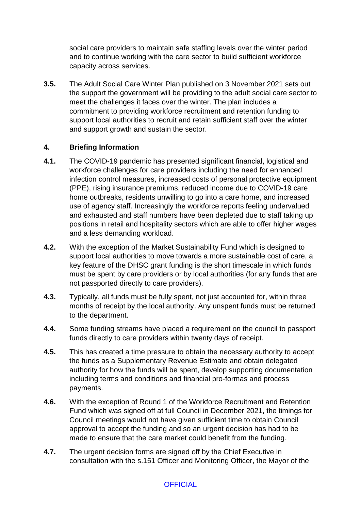social care providers to maintain safe staffing levels over the winter period and to continue working with the care sector to build sufficient workforce capacity across services.

**3.5.** The Adult Social Care Winter Plan published on 3 November 2021 sets out the support the government will be providing to the adult social care sector to meet the challenges it faces over the winter. The plan includes a commitment to providing workforce recruitment and retention funding to support local authorities to recruit and retain sufficient staff over the winter and support growth and sustain the sector.

## **4. Briefing Information**

- **4.1.** The COVID-19 pandemic has presented significant financial, logistical and workforce challenges for care providers including the need for enhanced infection control measures, increased costs of personal protective equipment (PPE), rising insurance premiums, reduced income due to COVID-19 care home outbreaks, residents unwilling to go into a care home, and increased use of agency staff. Increasingly the workforce reports feeling undervalued and exhausted and staff numbers have been depleted due to staff taking up positions in retail and hospitality sectors which are able to offer higher wages and a less demanding workload.
- **4.2.** With the exception of the Market Sustainability Fund which is designed to support local authorities to move towards a more sustainable cost of care, a key feature of the DHSC grant funding is the short timescale in which funds must be spent by care providers or by local authorities (for any funds that are not passported directly to care providers).
- **4.3.** Typically, all funds must be fully spent, not just accounted for, within three months of receipt by the local authority. Any unspent funds must be returned to the department.
- **4.4.** Some funding streams have placed a requirement on the council to passport funds directly to care providers within twenty days of receipt.
- **4.5.** This has created a time pressure to obtain the necessary authority to accept the funds as a Supplementary Revenue Estimate and obtain delegated authority for how the funds will be spent, develop supporting documentation including terms and conditions and financial pro-formas and process payments.
- **4.6.** With the exception of Round 1 of the Workforce Recruitment and Retention Fund which was signed off at full Council in December 2021, the timings for Council meetings would not have given sufficient time to obtain Council approval to accept the funding and so an urgent decision has had to be made to ensure that the care market could benefit from the funding.
- **4.7.** The urgent decision forms are signed off by the Chief Executive in consultation with the s.151 Officer and Monitoring Officer, the Mayor of the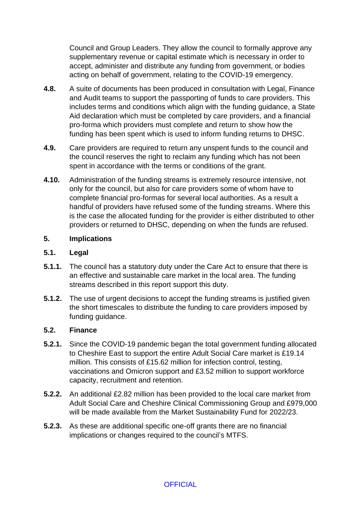Council and Group Leaders. They allow the council to formally approve any supplementary revenue or capital estimate which is necessary in order to accept, administer and distribute any funding from government, or bodies acting on behalf of government, relating to the COVID-19 emergency.

- **4.8.** A suite of documents has been produced in consultation with Legal, Finance and Audit teams to support the passporting of funds to care providers. This includes terms and conditions which align with the funding guidance, a State Aid declaration which must be completed by care providers, and a financial pro-forma which providers must complete and return to show how the funding has been spent which is used to inform funding returns to DHSC.
- **4.9.** Care providers are required to return any unspent funds to the council and the council reserves the right to reclaim any funding which has not been spent in accordance with the terms or conditions of the grant.
- **4.10.** Administration of the funding streams is extremely resource intensive, not only for the council, but also for care providers some of whom have to complete financial pro-formas for several local authorities. As a result a handful of providers have refused some of the funding streams. Where this is the case the allocated funding for the provider is either distributed to other providers or returned to DHSC, depending on when the funds are refused.

#### **5. Implications**

#### **5.1. Legal**

- **5.1.1.** The council has a statutory duty under the Care Act to ensure that there is an effective and sustainable care market in the local area. The funding streams described in this report support this duty.
- **5.1.2.** The use of urgent decisions to accept the funding streams is justified given the short timescales to distribute the funding to care providers imposed by funding guidance.

#### **5.2. Finance**

- **5.2.1.** Since the COVID-19 pandemic began the total government funding allocated to Cheshire East to support the entire Adult Social Care market is £19.14 million. This consists of £15.62 million for infection control, testing, vaccinations and Omicron support and £3.52 million to support workforce capacity, recruitment and retention.
- **5.2.2.** An additional £2.82 million has been provided to the local care market from Adult Social Care and Cheshire Clinical Commissioning Group and £979,000 will be made available from the Market Sustainability Fund for 2022/23.
- **5.2.3.** As these are additional specific one-off grants there are no financial implications or changes required to the council's MTFS.